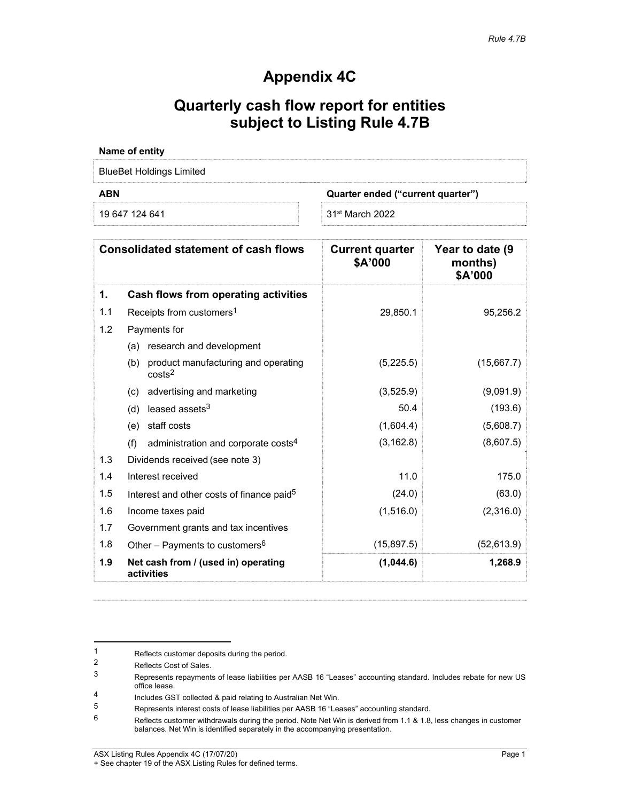# **Appendix 4C**

# **Quarterly cash flow report for entities subject to Listing Rule 4.7B**

| Name of entity           |                                   |
|--------------------------|-----------------------------------|
| BlueBet Holdings Limited |                                   |
| <b>ABN</b>               | Quarter ended ("current quarter") |
| 19 647 124 641           | 31 <sup>st</sup> March 2022       |

| <b>Consolidated statement of cash flows</b> |                                                                  | <b>Current quarter</b><br>\$A'000 | Year to date (9<br>months)<br>\$A'000 |
|---------------------------------------------|------------------------------------------------------------------|-----------------------------------|---------------------------------------|
| 1.                                          | Cash flows from operating activities                             |                                   |                                       |
| 1.1                                         | Receipts from customers <sup>1</sup>                             | 29,850.1                          | 95,256.2                              |
| 1.2                                         | Payments for                                                     |                                   |                                       |
|                                             | research and development<br>(a)                                  |                                   |                                       |
|                                             | product manufacturing and operating<br>(b)<br>costs <sup>2</sup> | (5,225.5)                         | (15,667.7)                            |
|                                             | advertising and marketing<br>(c)                                 | (3,525.9)                         | (9,091.9)                             |
|                                             | leased assets $3$<br>(d)                                         | 50.4                              | (193.6)                               |
|                                             | staff costs<br>(e)                                               | (1,604.4)                         | (5,608.7)                             |
|                                             | administration and corporate costs <sup>4</sup><br>(f)           | (3, 162.8)                        | (8,607.5)                             |
| 1.3                                         | Dividends received (see note 3)                                  |                                   |                                       |
| 1.4                                         | Interest received                                                | 11.0                              | 175.0                                 |
| 1.5                                         | Interest and other costs of finance paid <sup>5</sup>            | (24.0)                            | (63.0)                                |
| 1.6                                         | Income taxes paid                                                | (1,516.0)                         | (2,316.0)                             |
| 1.7                                         | Government grants and tax incentives                             |                                   |                                       |
| 1.8                                         | Other - Payments to customers <sup>6</sup>                       | (15,897.5)                        | (52, 613.9)                           |
| 1.9                                         | Net cash from / (used in) operating<br>activities                | (1,044.6)                         | 1,268.9                               |

#### ASX Listing Rules Appendix 4C (17/07/20) Page 1

<sup>1</sup> Reflects customer deposits during the period.<br>2 Petects Cost of Sales

 $\frac{2}{3}$  Reflects Cost of Sales.

<sup>3</sup> Represents repayments of lease liabilities per AASB 16 "Leases" accounting standard. Includes rebate for new US office lease.

<sup>1</sup> Includes GST collected & paid relating to Australian Net Win.<br>5 Represents interest costs of lease liabilities per AASB 16 <sup>e</sup>l ex

 $5$  Represents interest costs of lease liabilities per AASB 16 "Leases" accounting standard.<br>6 Reflects customer withdrawals during the period. Note Net Win is derived from 1.1.8.1.8

Reflects customer withdrawals during the period. Note Net Win is derived from 1.1 & 1.8, less changes in customer balances. Net Win is identified separately in the accompanying presentation.

<sup>+</sup> See chapter 19 of the ASX Listing Rules for defined terms.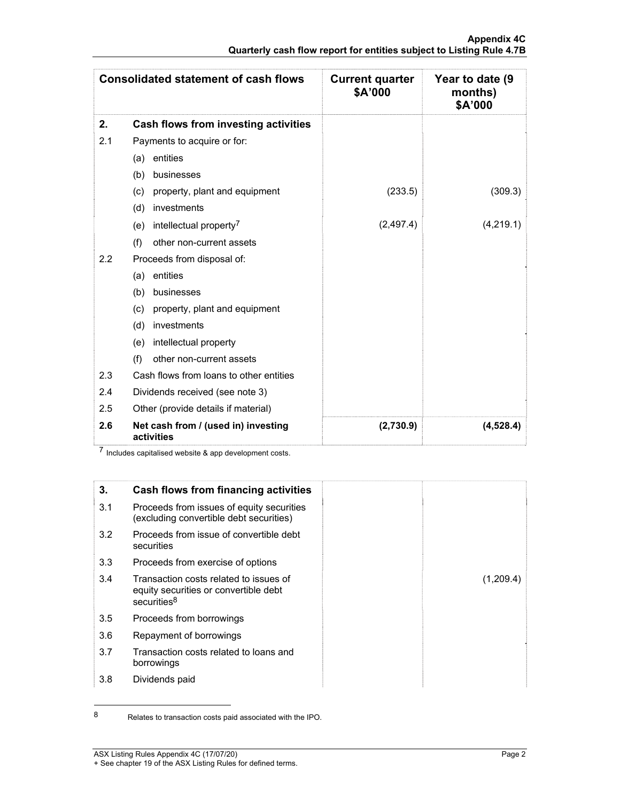| <b>Consolidated statement of cash flows</b> |                                                   | <b>Current quarter</b><br>\$A'000 | Year to date (9<br>months)<br>\$A'000 |
|---------------------------------------------|---------------------------------------------------|-----------------------------------|---------------------------------------|
| 2.                                          | Cash flows from investing activities              |                                   |                                       |
| 2.1                                         | Payments to acquire or for:                       |                                   |                                       |
|                                             | (a) entities                                      |                                   |                                       |
|                                             | (b)<br>businesses                                 |                                   |                                       |
|                                             | property, plant and equipment<br>(c)              | (233.5)                           | (309.3)                               |
|                                             | investments<br>(d)                                |                                   |                                       |
|                                             | intellectual property <sup>7</sup><br>(e)         | (2,497.4)                         | (4,219.1)                             |
|                                             | other non-current assets<br>(f)                   |                                   |                                       |
| $2.2\phantom{0}$                            | Proceeds from disposal of:                        |                                   |                                       |
|                                             | entities<br>(a)                                   |                                   |                                       |
|                                             | (b)<br>businesses                                 |                                   |                                       |
|                                             | property, plant and equipment<br>(c)              |                                   |                                       |
|                                             | investments<br>(d)                                |                                   |                                       |
|                                             | intellectual property<br>(e)                      |                                   |                                       |
|                                             | (f)<br>other non-current assets                   |                                   |                                       |
| 2.3                                         | Cash flows from loans to other entities           |                                   |                                       |
| 2.4                                         | Dividends received (see note 3)                   |                                   |                                       |
| 2.5                                         | Other (provide details if material)               |                                   |                                       |
| 2.6                                         | Net cash from / (used in) investing<br>activities | (2,730.9)                         | (4, 528.4)                            |

7 Includes capitalised website & app development costs.



<sup>8</sup> Relates to transaction costs paid associated with the IPO.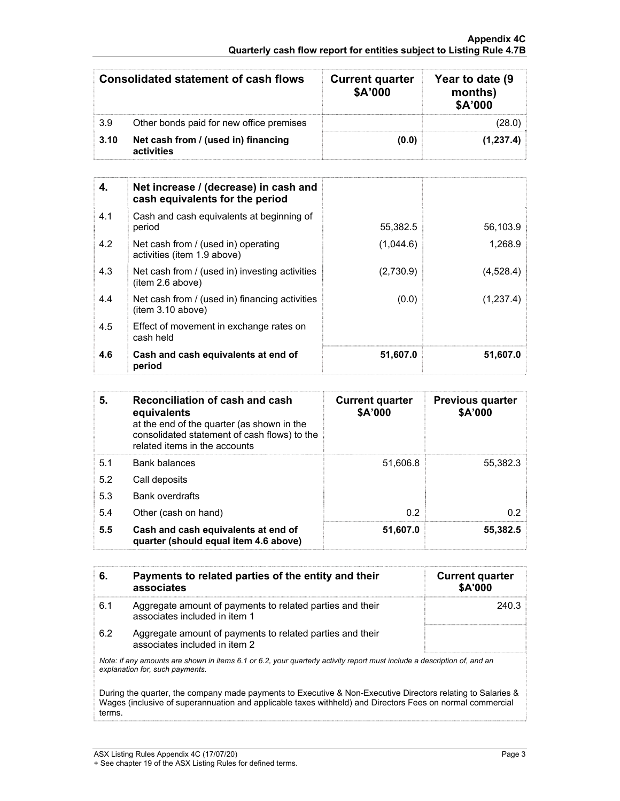### **Appendix 4C Quarterly cash flow report for entities subject to Listing Rule 4.7B**

| Consolidated statement of cash flows |                                                   | <b>Current quarter</b><br>\$A'000 | Year to date (9)<br>months)<br>\$A'000 |
|--------------------------------------|---------------------------------------------------|-----------------------------------|----------------------------------------|
| 3.9                                  | Other bonds paid for new office premises          |                                   |                                        |
| 3.10                                 | Net cash from / (used in) financing<br>activities | (0.0)                             | (1,237.4)                              |

| 4.  | Net increase / (decrease) in cash and<br>cash equivalents for the period |           |           |
|-----|--------------------------------------------------------------------------|-----------|-----------|
| 4.1 | Cash and cash equivalents at beginning of<br>period                      | 55,382.5  | 56,103.9  |
| 4.2 | Net cash from / (used in) operating<br>activities (item 1.9 above)       | (1,044.6) | 1,268.9   |
| 4.3 | Net cash from / (used in) investing activities<br>(item 2.6 above)       | (2,730.9) | (4,528.4) |
| 4.4 | Net cash from / (used in) financing activities<br>(item 3.10 above)      | (0.0)     | (1,237.4) |
| 4.5 | Effect of movement in exchange rates on<br>cash held                     |           |           |
| 4.6 | Cash and cash equivalents at end of<br>period                            | 51,607.0  | 51,607.0  |

| 5.  | Reconciliation of cash and cash<br>equivalents<br>at the end of the quarter (as shown in the<br>consolidated statement of cash flows) to the<br>related items in the accounts | <b>Current quarter</b><br>\$A'000 | <b>Previous quarter</b><br>\$A'000 |
|-----|-------------------------------------------------------------------------------------------------------------------------------------------------------------------------------|-----------------------------------|------------------------------------|
| 5.1 | <b>Bank balances</b>                                                                                                                                                          | 51,606.8                          | 55,382.3                           |
| 5.2 | Call deposits                                                                                                                                                                 |                                   |                                    |
| 5.3 | <b>Bank overdrafts</b>                                                                                                                                                        |                                   |                                    |
| 5.4 | Other (cash on hand)                                                                                                                                                          | 0.2                               | 0.2                                |
| 5.5 | Cash and cash equivalents at end of<br>quarter (should equal item 4.6 above)                                                                                                  | 51,607.0                          | 55,382.5                           |

| 6.                                                                                                                                                                                                                                 | Payments to related parties of the entity and their<br>associates                          | <b>Current quarter</b><br>\$A'000 |
|------------------------------------------------------------------------------------------------------------------------------------------------------------------------------------------------------------------------------------|--------------------------------------------------------------------------------------------|-----------------------------------|
| 6.1                                                                                                                                                                                                                                | Aggregate amount of payments to related parties and their<br>associates included in item 1 | 240.3                             |
| 6.2                                                                                                                                                                                                                                | Aggregate amount of payments to related parties and their<br>associates included in item 2 |                                   |
| Note: if any amounts are shown in items 6.1 or 6.2, your quarterly activity report must include a description of, and an<br>explanation for, such payments.                                                                        |                                                                                            |                                   |
| During the quarter, the company made payments to Executive & Non-Executive Directors relating to Salaries &<br>Wages (inclusive of superannuation and applicable taxes withheld) and Directors Fees on normal commercial<br>terms. |                                                                                            |                                   |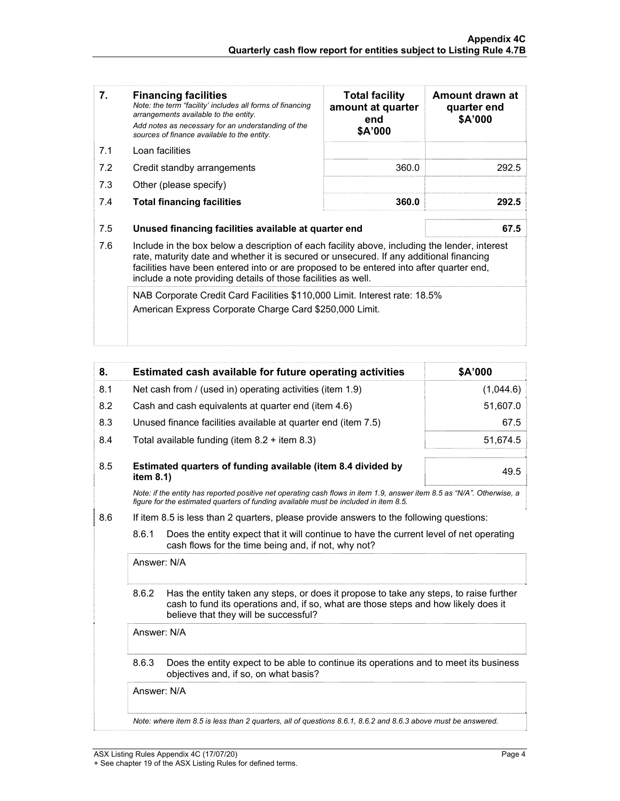| 7.  | <b>Financing facilities</b><br>Note: the term "facility' includes all forms of financing<br>arrangements available to the entity.<br>Add notes as necessary for an understanding of the<br>sources of finance available to the entity.                                                                                                               | <b>Total facility</b><br>amount at quarter<br>end<br>\$A'000 | Amount drawn at<br>quarter end<br>\$A'000 |
|-----|------------------------------------------------------------------------------------------------------------------------------------------------------------------------------------------------------------------------------------------------------------------------------------------------------------------------------------------------------|--------------------------------------------------------------|-------------------------------------------|
| 7.1 | Loan facilities                                                                                                                                                                                                                                                                                                                                      |                                                              |                                           |
| 7.2 | Credit standby arrangements                                                                                                                                                                                                                                                                                                                          | 360.0                                                        | 292.5                                     |
| 7.3 | Other (please specify)                                                                                                                                                                                                                                                                                                                               |                                                              |                                           |
| 7.4 | <b>Total financing facilities</b>                                                                                                                                                                                                                                                                                                                    | 360.0                                                        | 292.5                                     |
| 7.5 | Unused financing facilities available at quarter end                                                                                                                                                                                                                                                                                                 |                                                              | 67.5                                      |
| 7.6 | Include in the box below a description of each facility above, including the lender, interest<br>rate, maturity date and whether it is secured or unsecured. If any additional financing<br>facilities have been entered into or are proposed to be entered into after quarter end,<br>include a note providing details of those facilities as well. |                                                              |                                           |
|     | NAB Corporate Credit Card Facilities \$110,000 Limit. Interest rate: 18.5%<br>American Express Corporate Charge Card \$250,000 Limit.                                                                                                                                                                                                                |                                                              |                                           |

| 8.                                                                                                                                                                                                             |                                                                                                                                                                                                                                 | Estimated cash available for future operating activities                                                                       | \$A'000   |
|----------------------------------------------------------------------------------------------------------------------------------------------------------------------------------------------------------------|---------------------------------------------------------------------------------------------------------------------------------------------------------------------------------------------------------------------------------|--------------------------------------------------------------------------------------------------------------------------------|-----------|
| 8.1                                                                                                                                                                                                            | Net cash from / (used in) operating activities (item 1.9)                                                                                                                                                                       |                                                                                                                                | (1,044.6) |
| 8.2                                                                                                                                                                                                            |                                                                                                                                                                                                                                 | Cash and cash equivalents at quarter end (item 4.6)                                                                            | 51,607.0  |
| 8.3                                                                                                                                                                                                            |                                                                                                                                                                                                                                 | Unused finance facilities available at quarter end (item 7.5)                                                                  | 67.5      |
| 8.4                                                                                                                                                                                                            |                                                                                                                                                                                                                                 | Total available funding (item 8.2 + item 8.3)                                                                                  | 51,674.5  |
| 8.5                                                                                                                                                                                                            | item 8.1)                                                                                                                                                                                                                       | Estimated quarters of funding available (item 8.4 divided by                                                                   | 49.5      |
| Note: if the entity has reported positive net operating cash flows in item 1.9, answer item 8.5 as "N/A". Otherwise, a<br>figure for the estimated guarters of funding available must be included in item 8.5. |                                                                                                                                                                                                                                 |                                                                                                                                |           |
| 8.6                                                                                                                                                                                                            | If item 8.5 is less than 2 quarters, please provide answers to the following questions:                                                                                                                                         |                                                                                                                                |           |
|                                                                                                                                                                                                                | 8.6.1<br>Does the entity expect that it will continue to have the current level of net operating<br>cash flows for the time being and, if not, why not?                                                                         |                                                                                                                                |           |
|                                                                                                                                                                                                                | Answer: N/A                                                                                                                                                                                                                     |                                                                                                                                |           |
|                                                                                                                                                                                                                | 8.6.2<br>Has the entity taken any steps, or does it propose to take any steps, to raise further<br>cash to fund its operations and, if so, what are those steps and how likely does it<br>believe that they will be successful? |                                                                                                                                |           |
|                                                                                                                                                                                                                | Answer: N/A                                                                                                                                                                                                                     |                                                                                                                                |           |
|                                                                                                                                                                                                                | 8.6.3                                                                                                                                                                                                                           | Does the entity expect to be able to continue its operations and to meet its business<br>objectives and, if so, on what basis? |           |

Answer: N/A

*Note: where item 8.5 is less than 2 quarters, all of questions 8.6.1, 8.6.2 and 8.6.3 above must be answered.*